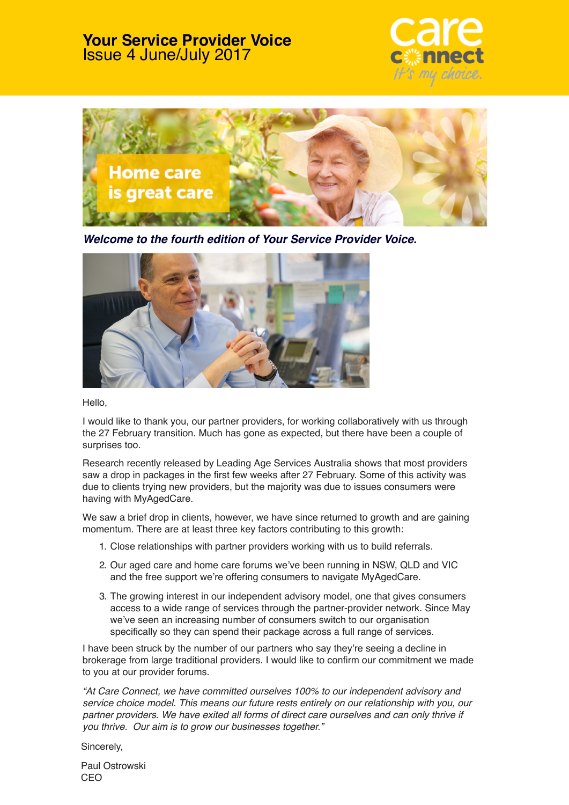#### **Your Service Provider Voice** Issue 4 June/July 2017





*Welcome to the fourth edition of Your Service Provider Voice.*



Hello,

I would like to thank you, our partner providers, for working collaboratively with us through the 27 February transition. Much has gone as expected, but there have been a couple of surprises too.

Research recently released by Leading Age Services Australia shows that most providers saw a drop in packages in the first few weeks after 27 February. Some of this activity was due to clients trying new providers, but the majority was due to issues consumers were having with MyAgedCare.

We saw a brief drop in clients, however, we have since returned to growth and are gaining momentum. There are at least three key factors contributing to this growth:

- 1. Close relationships with partner providers working with us to build referrals.
- 2. Our aged care and home care forums we've been running in NSW, QLD and VIC and the free support we're offering consumers to navigate MyAgedCare.
- 3. The growing interest in our independent advisory model, one that gives consumers access to a wide range of services through the partner-provider network. Since May we've seen an increasing number of consumers switch to our organisation specifically so they can spend their package across a full range of services.

I have been struck by the number of our partners who say they're seeing a decline in brokerage from large traditional providers. I would like to confirm our commitment we made to you at our provider forums.

*"At Care Connect, we have committed ourselves 100% to our independent advisory and service choice model. This means our future rests entirely on our relationship with you, our partner providers. We have exited all forms of direct care ourselves and can only thrive if* you thrive. Our aim is to grow our businesses together*."*

Sincerely,

Paul Ostrowski CEO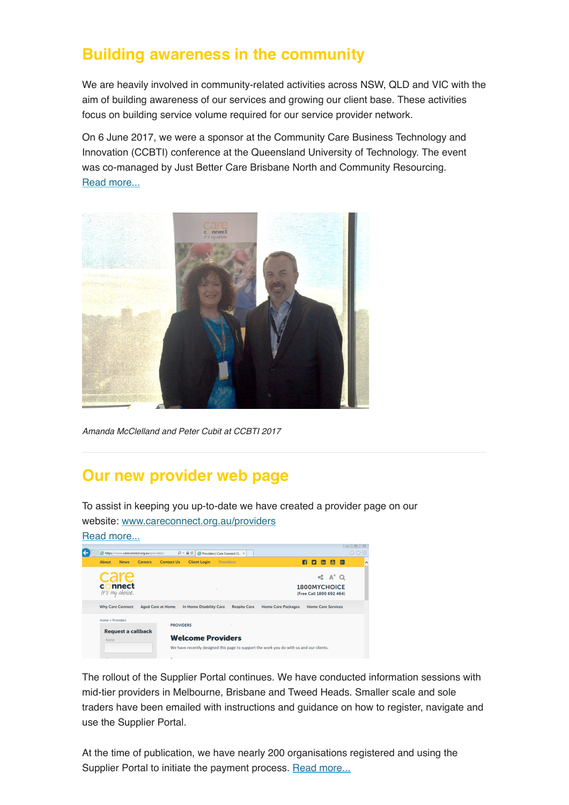## **Building awareness in the community**

We are heavily involved in community-related activities across NSW, QLD and VIC with the aim of building awareness of our services and growing our client base. These activities focus on building service volume required for our service provider network.

On 6 June 2017, we were a sponsor at the Community Care Business Technology and Innovation (CCBTI) conference at the Queensland University of Technology. The event was co-managed by Just Better Care Brisbane North and Community Resourcing. [Read more...](https://www.careconnect.org.au/building-awareness-in-the-community/)



Amanda McClelland and Peter Cubit at CCBTI 2017

### **Our new provider web page**

To assist in keeping you up-to-date we have created a provider page on our website: www[.careconnect.org.au/providers](http://www.careconnect.org.au/providers/)



The rollout of the Supplier Portal continues. We have conducted information sessions with mid-tier providers in Melbourne, Brisbane and Tweed Heads. Smaller scale and sole traders have been emailed with instructions and guidance on how to register, navigate and use the Supplier Portal.

At the time of publication, we have nearly 200 organisations registered and using the Supplier Portal to initiate the payment process[. Read more...](https://www.careconnect.org.au/supplier-portal/)